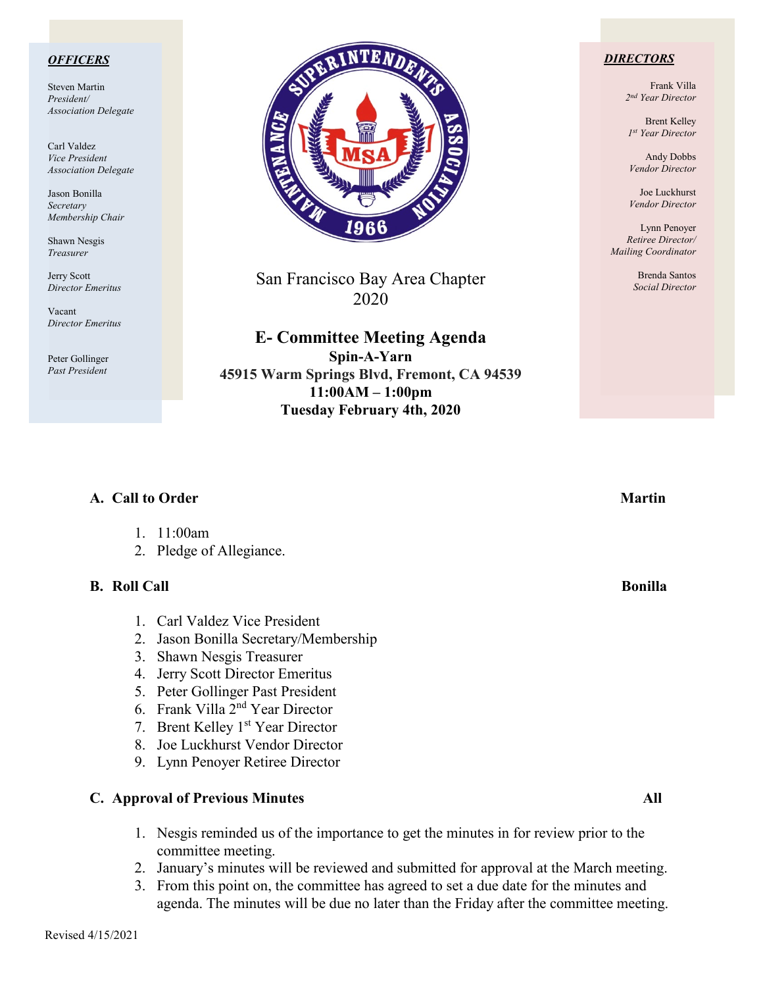### *OFFICERS*

Steven Martin *President/ Association Delegate*

Carl Valdez *Vice President Association Delegate*

Jason Bonilla *Secretary Membership Chair*

Shawn Nesgis *Treasurer*

Jerry Scott *Director Emeritus*

Vacant *Director Emeritus*

Peter Gollinger *Past President*



San Francisco Bay Area Chapter 2020

**E- Committee Meeting Agenda Spin-A-Yarn 45915 Warm Springs Blvd, Fremont, CA 94539 11:00AM – 1:00pm Tuesday February 4th, 2020**

### *DIRECTORS*

Frank Villa *2nd Year Director*

Brent Kelley *1st Year Director*

Andy Dobbs *Vendor Director*

Joe Luckhurst *Vendor Director*

Lynn Penoyer *Retiree Director/ Mailing Coordinator*

> Brenda Santos *Social Director*

| A. Call to Order                                                                                                                                                                                                                                                                                                                                                        |  |  |  |
|-------------------------------------------------------------------------------------------------------------------------------------------------------------------------------------------------------------------------------------------------------------------------------------------------------------------------------------------------------------------------|--|--|--|
| 11:00am<br>2. Pledge of Allegiance.                                                                                                                                                                                                                                                                                                                                     |  |  |  |
| <b>B.</b> Roll Call                                                                                                                                                                                                                                                                                                                                                     |  |  |  |
| 1. Carl Valdez Vice President<br>Jason Bonilla Secretary/Membership<br>2.<br>Shawn Nesgis Treasurer<br>3.<br>Jerry Scott Director Emeritus<br>4.<br>5. Peter Gollinger Past President<br>6. Frank Villa 2 <sup>nd</sup> Year Director<br>Brent Kelley 1 <sup>st</sup> Year Director<br>7.<br>Joe Luckhurst Vendor Director<br>8.<br>Lynn Penoyer Retiree Director<br>9. |  |  |  |
| <b>C.</b> Approval of Previous Minutes                                                                                                                                                                                                                                                                                                                                  |  |  |  |

- 1. Nesgis reminded us of the importance to get the minutes in for review prior to the committee meeting.
- 2. January's minutes will be reviewed and submitted for approval at the March meeting.
- 3. From this point on, the committee has agreed to set a due date for the minutes and agenda. The minutes will be due no later than the Friday after the committee meeting.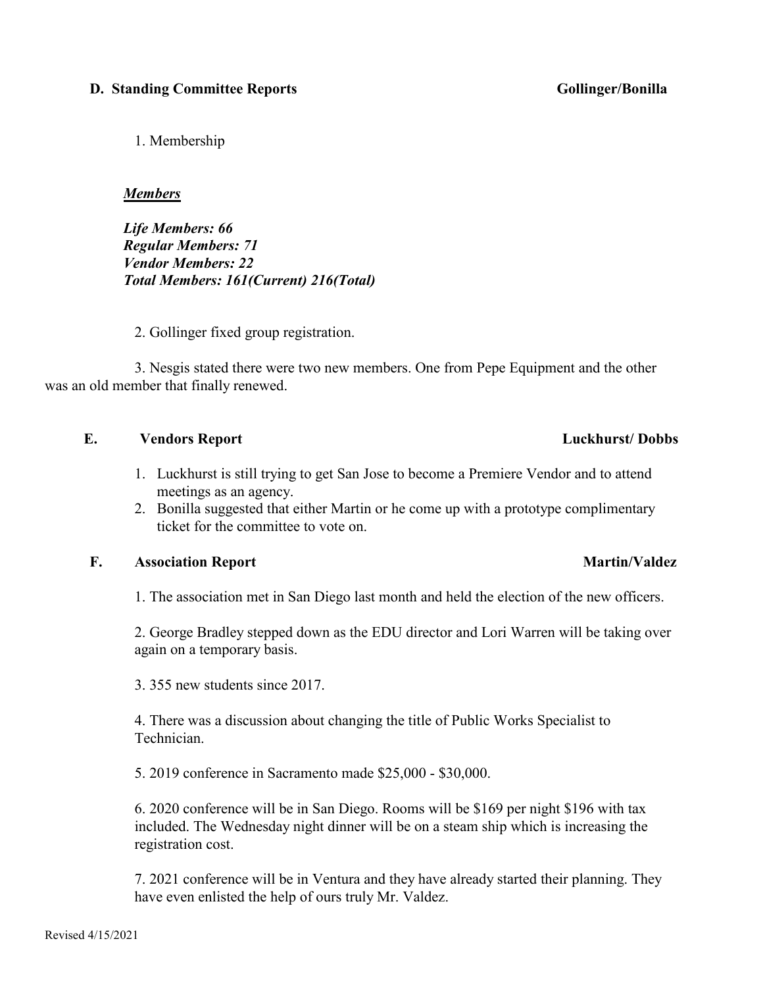# **D. Standing Committee Reports Gollinger/Bonilla**

1. Membership

### *Members*

*Life Members: 66 Regular Members: 71 Vendor Members: 22 Total Members: 161(Current) 216(Total)*

2. Gollinger fixed group registration.

 3. Nesgis stated there were two new members. One from Pepe Equipment and the other was an old member that finally renewed.

# **E. Vendors Report Luckhurst/ Dobbs**

- 1. Luckhurst is still trying to get San Jose to become a Premiere Vendor and to attend meetings as an agency.
- 2. Bonilla suggested that either Martin or he come up with a prototype complimentary ticket for the committee to vote on.

# **F.** Association Report Martin/Valdez

1. The association met in San Diego last month and held the election of the new officers.

2. George Bradley stepped down as the EDU director and Lori Warren will be taking over again on a temporary basis.

3. 355 new students since 2017.

4. There was a discussion about changing the title of Public Works Specialist to Technician.

5. 2019 conference in Sacramento made \$25,000 - \$30,000.

6. 2020 conference will be in San Diego. Rooms will be \$169 per night \$196 with tax included. The Wednesday night dinner will be on a steam ship which is increasing the registration cost.

7. 2021 conference will be in Ventura and they have already started their planning. They have even enlisted the help of ours truly Mr. Valdez.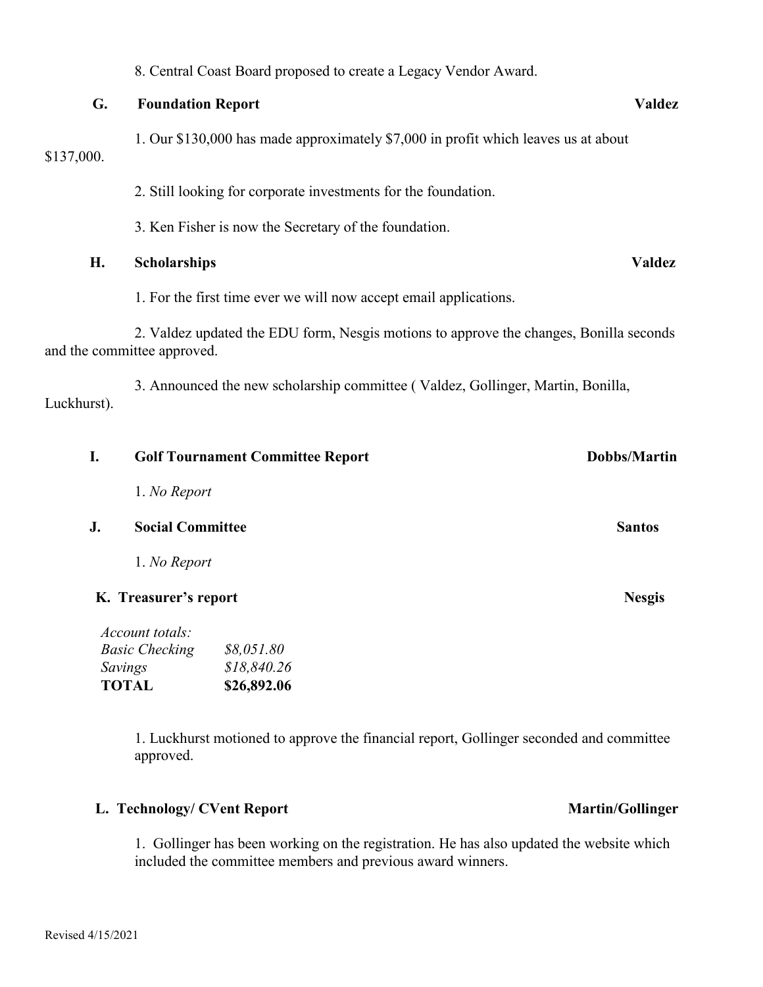## 8. Central Coast Board proposed to create a Legacy Vendor Award.

# **G. Foundation Report Valdez**

1. Our \$130,000 has made approximately \$7,000 in profit which leaves us at about \$137,000.

2. Still looking for corporate investments for the foundation.

3. Ken Fisher is now the Secretary of the foundation.

# **H. Scholarships Valdez**

1. For the first time ever we will now accept email applications.

 2. Valdez updated the EDU form, Nesgis motions to approve the changes, Bonilla seconds and the committee approved.

 3. Announced the new scholarship committee ( Valdez, Gollinger, Martin, Bonilla, Luckhurst).

| I. |                         | <b>Golf Tournament Committee Report</b> | Dobbs/Martin  |
|----|-------------------------|-----------------------------------------|---------------|
|    | 1. No Report            |                                         |               |
| J. | <b>Social Committee</b> |                                         | <b>Santos</b> |
|    | 1. No Report            |                                         |               |
|    | K. Treasurer's report   | <b>Nesgis</b>                           |               |
|    | Account totals:         |                                         |               |
|    | <b>Basic Checking</b>   | \$8,051.80                              |               |
|    | Savings                 | \$18,840.26                             |               |
|    | <b>TOTAL</b>            | \$26,892.06                             |               |

1. Luckhurst motioned to approve the financial report, Gollinger seconded and committee approved.

# L. Technology/ CVent Report **Martin/Gollinger**

1. Gollinger has been working on the registration. He has also updated the website which included the committee members and previous award winners.